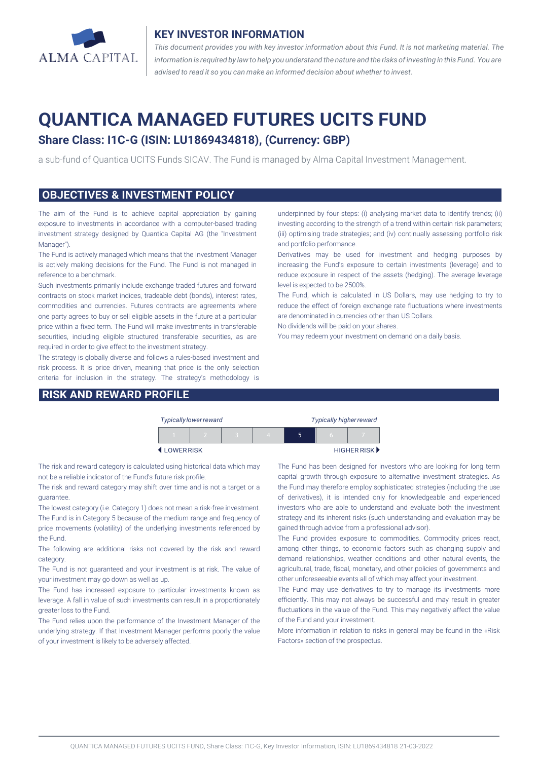

## **KEY INVESTOR INFORMATION**

*This document provides you with key investor information about this Fund. It is not marketing material. The* information is required by law to help you understand the nature and the risks of investing in this Fund. You are *advised to read it so you can make an informed decision about whether to invest.*

# **QUANTICA MANAGED FUTURES UCITS FUND**

# **Share Class: I1C-G (ISIN: LU1869434818), (Currency: GBP)**

a sub-fund of Quantica UCITS Funds SICAV. The Fund is managed by Alma Capital Investment Management.

### **OBJECTIVES & INVESTMENT POLICY**

The aim of the Fund is to achieve capital appreciation by gaining exposure to investments in accordance with a computer-based trading investment strategy designed by Quantica Capital AG (the "Investment Manager").

The Fund is actively managed which means that the Investment Manager is actively making decisions for the Fund. The Fund is not managed in reference to a benchmark.

Such investments primarily include exchange traded futures and forward contracts on stock market indices, tradeable debt (bonds), interest rates, commodities and currencies. Futures contracts are agreements where one party agrees to buy or sell eligible assets in the future at a particular price within a fixed term. The Fund will make investments in transferable securities, including eligible structured transferable securities, as are required in order to give effect to the investment strategy.

The strategy is globally diverse and follows a rules-based investment and risk process. It is price driven, meaning that price is the only selection criteria for inclusion in the strategy. The strategy's methodology is

# **RISK AND REWARD PROFILE**

underpinned by four steps: (i) analysing market data to identify trends; (ii) investing according to the strength of a trend within certain risk parameters; (iii) optimising trade strategies; and (iv) continually assessing portfolio risk and portfolio performance.

Derivatives may be used for investment and hedging purposes by increasing the Fund's exposure to certain investments (leverage) and to reduce exposure in respect of the assets (hedging). The average leverage level is expected to be 2500%.

The Fund, which is calculated in US Dollars, may use hedging to try to reduce the effect of foreign exchange rate fluctuations where investments are denominated in currencies other than US Dollars.

No dividends will be paid on your shares.

You may redeem your investment on demand on a daily basis.

| <b>Typically lower reward</b> |  |  |  | <b>Typically higher reward</b> |  |             |
|-------------------------------|--|--|--|--------------------------------|--|-------------|
|                               |  |  |  |                                |  |             |
| LOWERRISK                     |  |  |  |                                |  | HIGHER RISK |

The risk and reward category is calculated using historical data which may not be a reliable indicator of the Fund's future risk profile.

The risk and reward category may shift over time and is not a target or a guarantee.

The lowest category (i.e. Category 1) does not mean a risk-free investment. The Fund is in Category 5 because of the medium range and frequency of price movements (volatility) of the underlying investments referenced by the Fund.

The following are additional risks not covered by the risk and reward category.

The Fund is not guaranteed and your investment is at risk. The value of your investment may go down as well as up.

The Fund has increased exposure to particular investments known as leverage. A fall in value of such investments can result in a proportionately greater loss to the Fund.

The Fund relies upon the performance of the Investment Manager of the underlying strategy. If that Investment Manager performs poorly the value of your investment is likely to be adversely affected.

The Fund has been designed for investors who are looking for long term capital growth through exposure to alternative investment strategies. As the Fund may therefore employ sophisticated strategies (including the use of derivatives), it is intended only for knowledgeable and experienced investors who are able to understand and evaluate both the investment strategy and its inherent risks (such understanding and evaluation may be gained through advice from a professional advisor).

The Fund provides exposure to commodities. Commodity prices react, among other things, to economic factors such as changing supply and demand relationships, weather conditions and other natural events, the agricultural, trade, fiscal, monetary, and other policies of governments and other unforeseeable events all of which may affect your investment.

The Fund may use derivatives to try to manage its investments more efficiently. This may not always be successful and may result in greater fluctuations in the value of the Fund. This may negatively affect the value of the Fund and your investment.

More information in relation to risks in general may be found in the «Risk Factors» section of the prospectus.